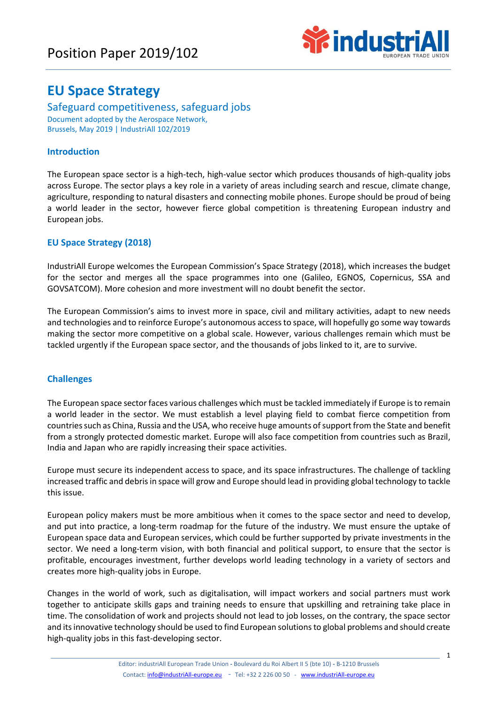# Position Paper 2019/102



# **EU Space Strategy**

Safeguard competitiveness, safeguard jobs Document adopted by the Aerospace Network, Brussels, May 2019 | IndustriAll 102/2019

# **Introduction**

The European space sector is a high-tech, high-value sector which produces thousands of high-quality jobs across Europe. The sector plays a key role in a variety of areas including search and rescue, climate change, agriculture, responding to natural disasters and connecting mobile phones. Europe should be proud of being a world leader in the sector, however fierce global competition is threatening European industry and European jobs.

## **EU Space Strategy (2018)**

IndustriAll Europe welcomes the European Commission's Space Strategy (2018), which increases the budget for the sector and merges all the space programmes into one (Galileo, EGNOS, Copernicus, SSA and GOVSATCOM). More cohesion and more investment will no doubt benefit the sector.

The European Commission's aims to invest more in space, civil and military activities, adapt to new needs and technologies and to reinforce Europe's autonomous access to space, will hopefully go some way towards making the sector more competitive on a global scale. However, various challenges remain which must be tackled urgently if the European space sector, and the thousands of jobs linked to it, are to survive.

## **Challenges**

The European space sector faces various challenges which must be tackled immediately if Europe is to remain a world leader in the sector. We must establish a level playing field to combat fierce competition from countries such as China, Russia and the USA, who receive huge amounts of support from the State and benefit from a strongly protected domestic market. Europe will also face competition from countries such as Brazil, India and Japan who are rapidly increasing their space activities.

Europe must secure its independent access to space, and its space infrastructures. The challenge of tackling increased traffic and debris in space will grow and Europe should lead in providing global technology to tackle this issue.

European policy makers must be more ambitious when it comes to the space sector and need to develop, and put into practice, a long-term roadmap for the future of the industry. We must ensure the uptake of European space data and European services, which could be further supported by private investments in the sector. We need a long-term vision, with both financial and political support, to ensure that the sector is profitable, encourages investment, further develops world leading technology in a variety of sectors and creates more high-quality jobs in Europe.

Changes in the world of work, such as digitalisation, will impact workers and social partners must work together to anticipate skills gaps and training needs to ensure that upskilling and retraining take place in time. The consolidation of work and projects should not lead to job losses, on the contrary, the space sector and its innovative technology should be used to find European solutions to global problems and should create high-quality jobs in this fast-developing sector.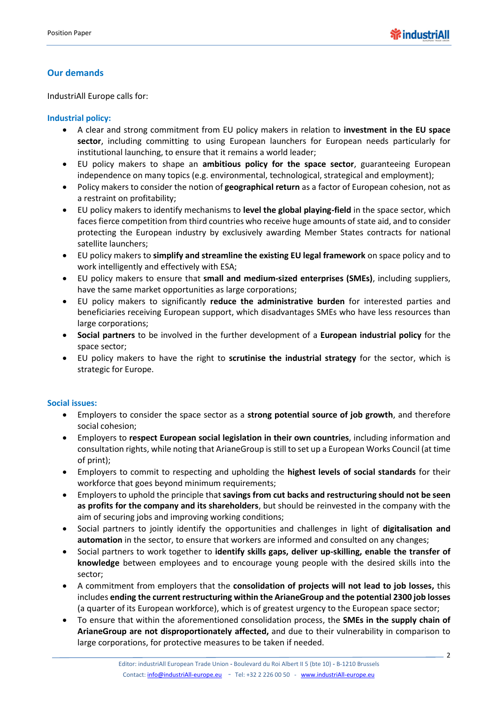# **Our demands**

IndustriAll Europe calls for:

### **Industrial policy:**

- A clear and strong commitment from EU policy makers in relation to **investment in the EU space sector**, including committing to using European launchers for European needs particularly for institutional launching, to ensure that it remains a world leader;
- EU policy makers to shape an **ambitious policy for the space sector**, guaranteeing European independence on many topics (e.g. environmental, technological, strategical and employment);
- Policy makers to consider the notion of **geographical return** as a factor of European cohesion, not as a restraint on profitability;
- EU policy makers to identify mechanisms to **level the global playing-field** in the space sector, which faces fierce competition from third countries who receive huge amounts of state aid, and to consider protecting the European industry by exclusively awarding Member States contracts for national satellite launchers;
- EU policy makers to **simplify and streamline the existing EU legal framework** on space policy and to work intelligently and effectively with ESA;
- EU policy makers to ensure that **small and medium-sized enterprises (SMEs)**, including suppliers, have the same market opportunities as large corporations;
- EU policy makers to significantly **reduce the administrative burden** for interested parties and beneficiaries receiving European support, which disadvantages SMEs who have less resources than large corporations;
- **Social partners** to be involved in the further development of a **European industrial policy** for the space sector;
- EU policy makers to have the right to **scrutinise the industrial strategy** for the sector, which is strategic for Europe.

#### **Social issues:**

- Employers to consider the space sector as a **strong potential source of job growth**, and therefore social cohesion;
- Employers to **respect European social legislation in their own countries**, including information and consultation rights, while noting that ArianeGroup is still to set up a European Works Council (at time of print);
- Employers to commit to respecting and upholding the **highest levels of social standards** for their workforce that goes beyond minimum requirements;
- Employers to uphold the principle that **savings from cut backs and restructuring should not be seen as profits for the company and its shareholders**, but should be reinvested in the company with the aim of securing jobs and improving working conditions;
- Social partners to jointly identify the opportunities and challenges in light of **digitalisation and automation** in the sector, to ensure that workers are informed and consulted on any changes;
- Social partners to work together to **identify skills gaps, deliver up-skilling, enable the transfer of knowledge** between employees and to encourage young people with the desired skills into the sector;
- A commitment from employers that the **consolidation of projects will not lead to job losses,** this includes **ending the current restructuring within the ArianeGroup and the potential 2300 job losses** (a quarter of its European workforce), which is of greatest urgency to the European space sector;
- To ensure that within the aforementioned consolidation process, the **SMEs in the supply chain of ArianeGroup are not disproportionately affected,** and due to their vulnerability in comparison to large corporations, for protective measures to be taken if needed.